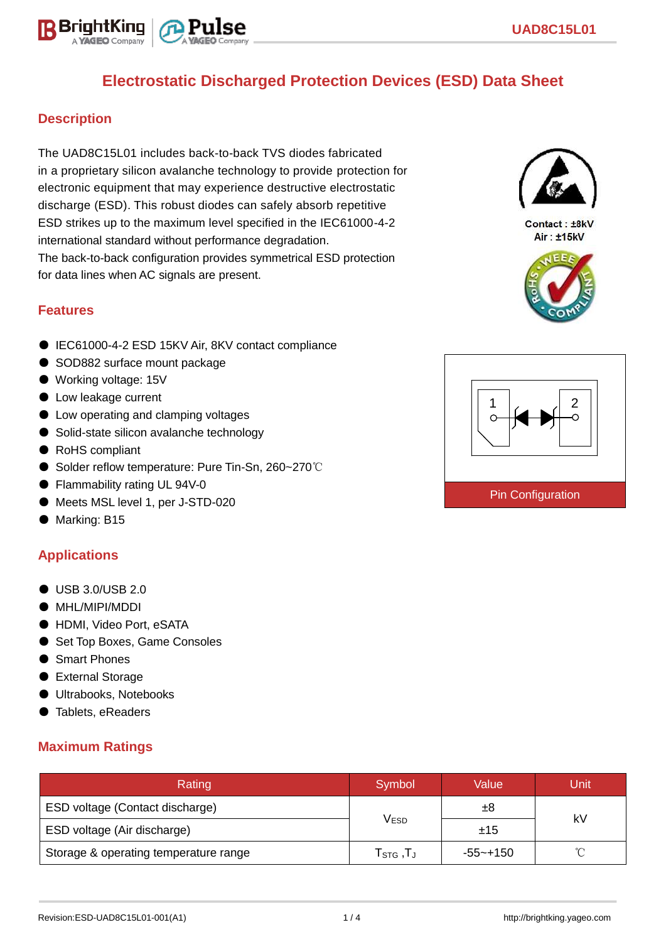

## **Description**

The UAD8C15L01 includes back-to-back TVS diodes fabricated in a proprietary silicon avalanche technology to provide protection for electronic equipment that may experience destructive electrostatic discharge (ESD). This robust diodes can safely absorb repetitive ESD strikes up to the maximum level specified in the IEC61000-4-2 international standard without performance degradation. The back-to-back configuration provides symmetrical ESD protection for data lines when AC signals are present.

### **Features**

- IEC61000-4-2 ESD 15KV Air, 8KV contact compliance
- SOD882 surface mount package
- Working voltage: 15V
- Low leakage current
- Low operating and clamping voltages
- Solid-state silicon avalanche technology
- RoHS compliant
- Solder reflow temperature: Pure Tin-Sn, 260~270℃
- Flammability rating UL 94V-0
- Meets MSL level 1, per J-STD-020
- Marking: B15

### **Applications**

- USB 3.0/USB 2.0
- MHL/MIPI/MDDI
- HDMI, Video Port, eSATA
- Set Top Boxes, Game Consoles
- Smart Phones
- External Storage
- Ultrabooks, Notebooks
- Tablets, eReaders

### **Maximum Ratings**

| Rating                                | Symbol                                      | Value    | Unit   |  |  |
|---------------------------------------|---------------------------------------------|----------|--------|--|--|
| ESD voltage (Contact discharge)       |                                             | $\pm 8$  |        |  |  |
| ESD voltage (Air discharge)           | Vesd                                        | ±15      | kV     |  |  |
| Storage & operating temperature range | ${\sf T}_{\text{STG}}\,,{\sf T}_{\text{J}}$ | -55~+150 | $\sim$ |  |  |



Contact: ±8kV Air: ±15kV



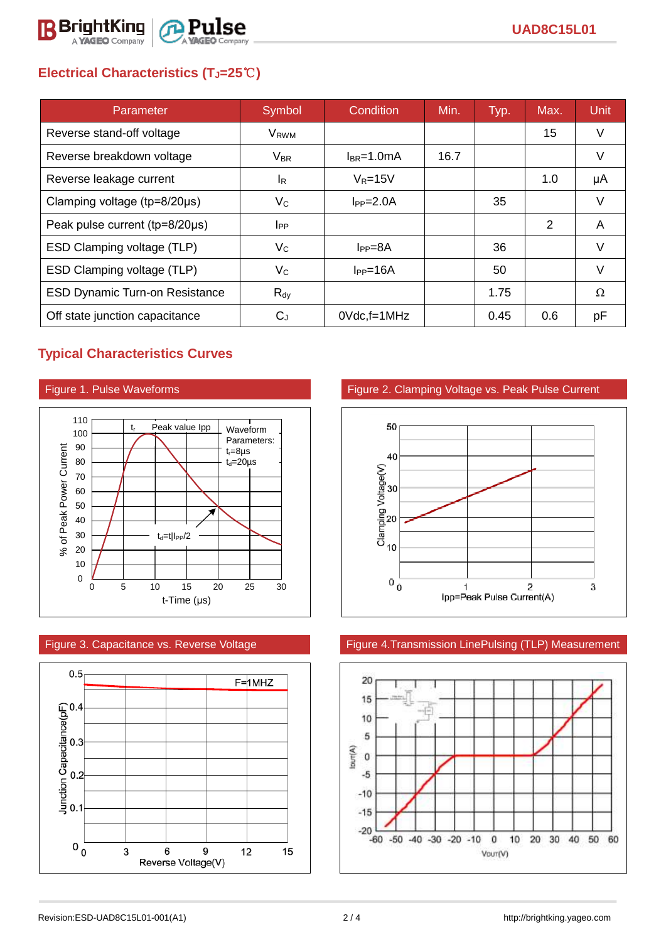

# **Electrical Characteristics (TJ=25**℃**)**

| Parameter                             | Symbol                 | Condition       | Min. | Typ. | Max. | <b>Unit</b> |
|---------------------------------------|------------------------|-----------------|------|------|------|-------------|
| Reverse stand-off voltage             | V <sub>RWM</sub>       |                 |      |      | 15   | V           |
| Reverse breakdown voltage             | $V_{BR}$               | $I_{BR}$ =1.0mA | 16.7 |      |      | V           |
| Reverse leakage current               | <sup>I</sup> R         | $V_R = 15V$     |      |      | 1.0  | μA          |
| Clamping voltage ( $tp=8/20\mu s$ )   | $V_{\rm C}$            | $I_{PP} = 2.0A$ |      | 35   |      | $\vee$      |
| Peak pulse current (tp=8/20µs)        | <b>I</b> <sub>PP</sub> |                 |      |      | 2    | A           |
| ESD Clamping voltage (TLP)            | $V_C$                  | $I_{PP} = 8A$   |      | 36   |      | V           |
| ESD Clamping voltage (TLP)            | $V_{\rm C}$            | $I_{PP}=16A$    |      | 50   |      | V           |
| <b>ESD Dynamic Turn-on Resistance</b> | $R_{\text{dy}}$        |                 |      | 1.75 |      | Ω           |
| Off state junction capacitance        | $C_{J}$                | $0$ Vdc, f=1MHz |      | 0.45 | 0.6  | рF          |

## **Typical Characteristics Curves**







### Figure 1. Pulse Waveforms Figure 2. Clamping Voltage vs. Peak Pulse Current



### Figure 3. Capacitance vs. Reverse Voltage Figure 4.Transmission LinePulsing (TLP) Measurement

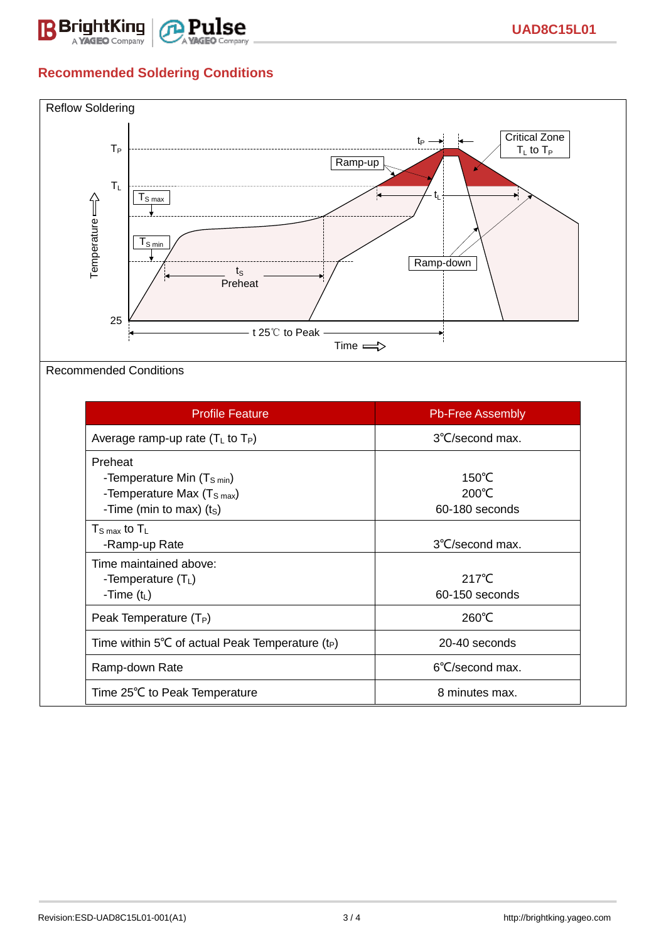

## **Recommended Soldering Conditions**